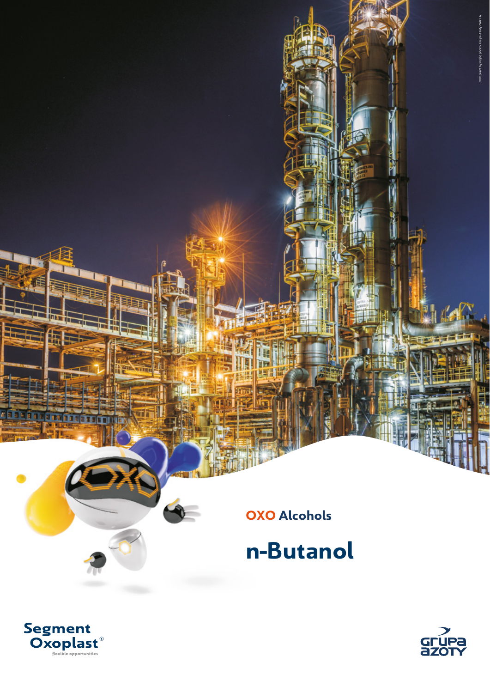